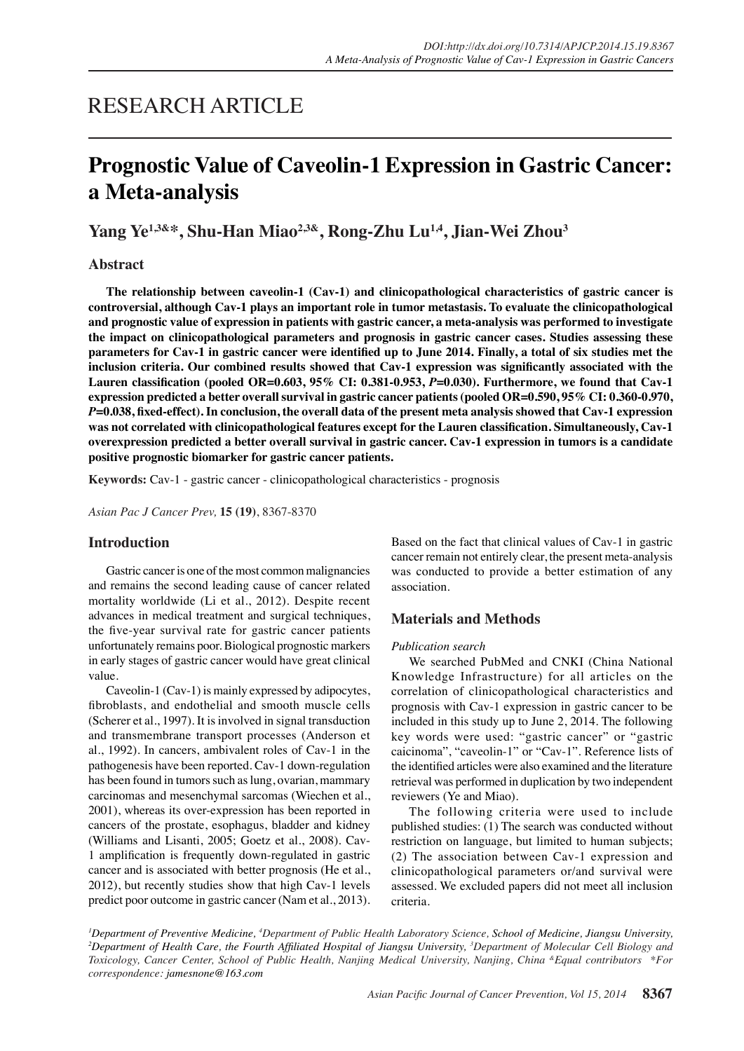# RESEARCH ARTICLE

# **Prognostic Value of Caveolin-1 Expression in Gastric Cancer: a Meta-analysis**

# **Yang Ye1,3&\*, Shu-Han Miao2,3&, Rong-Zhu Lu1,4, Jian-Wei Zhou<sup>3</sup>**

## **Abstract**

**The relationship between caveolin-1 (Cav-1) and clinicopathological characteristics of gastric cancer is controversial, although Cav-1 plays an important role in tumor metastasis. To evaluate the clinicopathological and prognostic value of expression in patients with gastric cancer, a meta-analysis was performed to investigate the impact on clinicopathological parameters and prognosis in gastric cancer cases. Studies assessing these parameters for Cav-1 in gastric cancer were identified up to June 2014. Finally, a total of six studies met the inclusion criteria. Our combined results showed that Cav-1 expression was significantly associated with the Lauren classification (pooled OR=0.603, 95% CI: 0.381-0.953,** *P***=0.030). Furthermore, we found that Cav-1 expression predicted a better overall survival in gastric cancer patients (pooled OR=0.590, 95% CI: 0.360-0.970,**  *P***=0.038, fixed-effect). In conclusion, the overall data of the present meta analysis showed that Cav-1 expression was not correlated with clinicopathological features except for the Lauren classification. Simultaneously, Cav-1 overexpression predicted a better overall survival in gastric cancer. Cav-1 expression in tumors is a candidate positive prognostic biomarker for gastric cancer patients.**

**Keywords:** Cav-1 - gastric cancer - clinicopathological characteristics - prognosis

*Asian Pac J Cancer Prev,* **15 (19)**, 8367-8370

### **Introduction**

Gastric cancer is one of the most common malignancies and remains the second leading cause of cancer related mortality worldwide (Li et al., 2012). Despite recent advances in medical treatment and surgical techniques, the five-year survival rate for gastric cancer patients unfortunately remains poor. Biological prognostic markers in early stages of gastric cancer would have great clinical value.

Caveolin-1 (Cav-1) is mainly expressed by adipocytes, fibroblasts, and endothelial and smooth muscle cells (Scherer et al., 1997). It is involved in signal transduction and transmembrane transport processes (Anderson et al., 1992). In cancers, ambivalent roles of Cav-1 in the pathogenesis have been reported. Cav-1 down-regulation has been found in tumors such as lung, ovarian, mammary carcinomas and mesenchymal sarcomas (Wiechen et al., 2001), whereas its over-expression has been reported in cancers of the prostate, esophagus, bladder and kidney (Williams and Lisanti, 2005; Goetz et al., 2008). Cav-1 amplification is frequently down-regulated in gastric cancer and is associated with better prognosis (He et al., 2012), but recently studies show that high Cav-1 levels predict poor outcome in gastric cancer (Nam et al., 2013). Based on the fact that clinical values of Cav-1 in gastric cancer remain not entirely clear, the present meta-analysis was conducted to provide a better estimation of any association.

### **Materials and Methods**

#### *Publication search*

We searched PubMed and CNKI (China National Knowledge Infrastructure) for all articles on the correlation of clinicopathological characteristics and prognosis with Cav-1 expression in gastric cancer to be included in this study up to June 2, 2014. The following key words were used: "gastric cancer" or "gastric caicinoma", "caveolin-1" or "Cav-1". Reference lists of the identified articles were also examined and the literature retrieval was performed in duplication by two independent reviewers (Ye and Miao).

The following criteria were used to include published studies: (1) The search was conducted without restriction on language, but limited to human subjects; (2) The association between Cav-1 expression and clinicopathological parameters or/and survival were assessed. We excluded papers did not meet all inclusion criteria.

<sup>1</sup>Department of Preventive Medicine, <sup>4</sup>Department of Public Health Laboratory Science, School of Medicine, Jiangsu University,<br><sup>2</sup>Department of Health Care, the Fourth Affiliated Hospital of Jiangsu University, <sup>3</sup>Depart *Department of Health Care, the Fourth Affiliated Hospital of Jiangsu University, <sup>3</sup> Department of Molecular Cell Biology and Toxicology, Cancer Center, School of Public Health, Nanjing Medical University, Nanjing, China &Equal contributors \*For correspondence: jamesnone@163.com*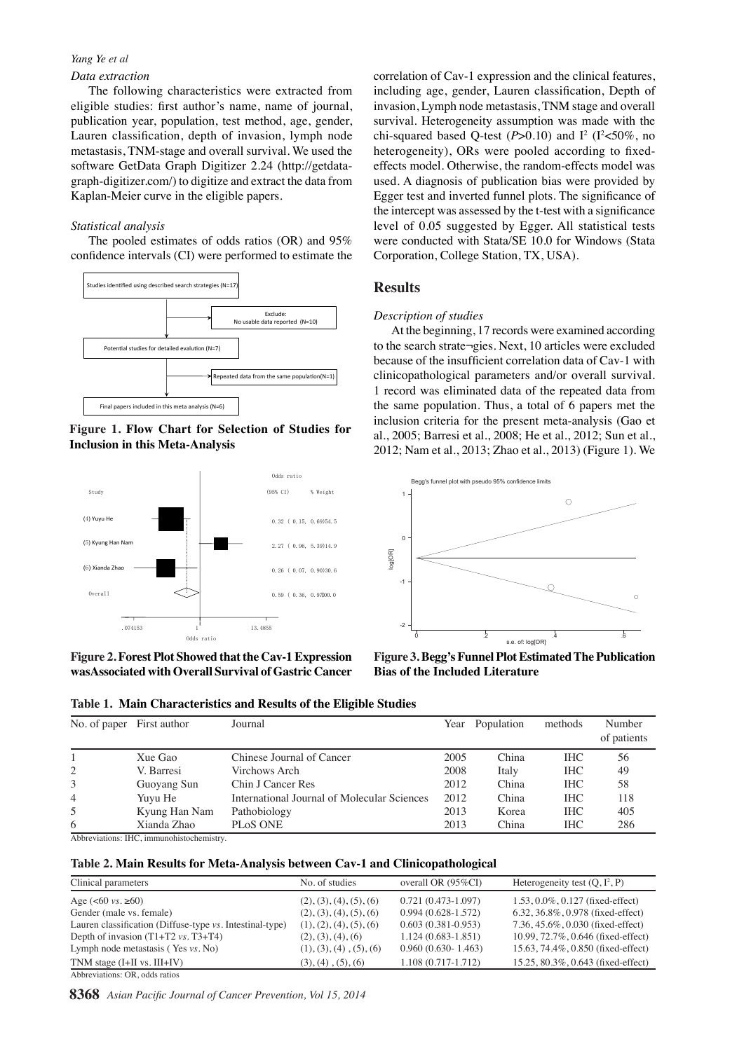#### *Yang Ye et al*

#### *Data extraction*

The following characteristics were extracted from eligible studies: first author's name, name of journal, publication year, population, test method, age, gender, Lauren classification, depth of invasion, lymph node metastasis, TNM-stage and overall survival. We used the software GetData Graph Digitizer 2.24 (http://getdatagraph-digitizer.com/) to digitize and extract the data from Kaplan-Meier curve in the eligible papers.

#### *Statistical analysis*

The pooled estimates of odds ratios (OR) and 95% confidence intervals (CI) were performed to estimate the



**Figure 1. Flow Chart for Selection of Studies for Inclusion in this Meta-Analysis**



**Figure 2. Forest Plot Showed that the Cav-1 Expression wasAssociated with Overall Survival of Gastric Cancer** correlation of Cav-1 expression and the clinical features, including age, gender, Lauren classification, Depth of invasion, Lymph node metastasis, TNM stage and overall survival. Heterogeneity assumption was made with the chi-squared based Q-test  $(P>0.10)$  and  $I^2$  ( $I^2<50\%$ , no heterogeneity), ORs were pooled according to fixedeffects model. Otherwise, the random-effects model was used. A diagnosis of publication bias were provided by Egger test and inverted funnel plots. The significance of the intercept was assessed by the t-test with a significance level of 0.05 suggested by Egger. All statistical tests were conducted with Stata/SE 10.0 for Windows (Stata Corporation, College Station, TX, USA).

## **Results**

#### *Description of studies*

At the beginning, 17 records were examined according to the search strate¬gies. Next, 10 articles were excluded because of the insufficient correlation data of Cav-1 with clinicopathological parameters and/or overall survival. 1 record was eliminated data of the repeated data from the same population. Thus, a total of 6 papers met the inclusion criteria for the present meta-analysis (Gao et al., 2005; Barresi et al., 2008; He et al., 2012; Sun et al., 2012; Nam et al., 2013; Zhao et al., 2013) (Figure 1). We



**Figure 3. Begg's Funnel Plot Estimated The Publication Bias of the Included Literature**

| No. of paper First author                 |                                                                               | Journal                                     |                    |                                            |                                            |                | Year Population |       |         | methods                                              | Number<br>of patients                                      |      |      |
|-------------------------------------------|-------------------------------------------------------------------------------|---------------------------------------------|--------------------|--------------------------------------------|--------------------------------------------|----------------|-----------------|-------|---------|------------------------------------------------------|------------------------------------------------------------|------|------|
|                                           | Xue Gao                                                                       | Chinese Journal of Cancer                   |                    |                                            |                                            | 2005           |                 | China |         | <b>IHC</b>                                           | 56                                                         |      |      |
|                                           | V. Barresi                                                                    | Virchows Arch                               |                    |                                            |                                            | 2008           |                 | Italy |         | <b>IHC</b>                                           | 49                                                         |      |      |
|                                           | Guoyang Sun                                                                   | Chin J Cancer Res                           |                    | 100.0                                      |                                            | 2012           |                 | China |         | <b>IHC</b>                                           | 58                                                         |      |      |
| 4                                         | Yuyu He                                                                       | International Journal of Molecular Sciences |                    |                                            |                                            | 2012           |                 |       | China   | <b>IHC</b>                                           | 118                                                        |      |      |
|                                           | Kyung Han Nam                                                                 | Pathobiology                                |                    |                                            | 6.3                                        | $1_{20}$ 310.1 |                 |       | Kor@0.3 | <b>HIC</b>                                           | 405                                                        |      | 12.8 |
| 6                                         | Xianda Zhao                                                                   | PLOS ONE                                    |                    |                                            |                                            | 2013           |                 | China |         | <b>IHC</b>                                           | 286                                                        |      |      |
| Abbreviations: IHC, immunohistochemistry. |                                                                               |                                             |                    | 75.0                                       |                                            |                |                 |       |         | 25.0                                                 |                                                            | 30.0 |      |
| Clinical parameters                       | Table 2. Main Results for Meta-Analysis between Cav-1 and Clinicopathologigal |                                             | No. of studies     |                                            | overall OR (95%CI)                         |                |                 |       |         | Heterogeneity test $(\mathbb{Q}, \overline{I^2}, P)$ |                                                            |      | 51.1 |
| Age $(<60 \text{ vs. } \ge 60)$           |                                                                               |                                             |                    | <del>50.0</del><br>(2), (3), (4), (5), (6) | $0.721(0.473-1.097)$                       |                |                 |       |         |                                                      | 1.53, 0.0%, 0. $\frac{3}{2}$ , $\frac{3}{8}$ fixed-effect) | 30.0 |      |
| Gender (male vs. female)                  |                                                                               |                                             |                    | (2), (3), (4), (5), (6)                    | $0.994(0.628 - 1.572)$                     |                |                 |       |         |                                                      | 6.32, 36.8%, 0.978 (fixed-effect)                          |      |      |
|                                           | Lauren classification (Diffuse-type vs. Intestinal-type)                      |                                             |                    | (1), (2), (4), (5), (6)                    | $0.603(0.381-0.953)$                       |                |                 |       |         |                                                      | 7.36, 45.6%, 0.030 (fixed-effect)                          |      |      |
|                                           | Depth of invasion $(T1+T2 \text{ vs. } T3+T4)$                                |                                             |                    | $(2), (3), (4), (6)$ <sub>k</sub> n        | $1,124$ (0.683-1.851)                      |                |                 |       |         |                                                      | 10.99, $72.7\%$ , 0.646 (fixed-effect)                     |      |      |
|                                           | Lymph node metastasis (Yes vs. No)                                            |                                             |                    | (1), (3), (4), (5), (6)                    | 0.960 (0.630- 1.463)<br>1.131(3.717-1.712) |                |                 |       |         |                                                      | $15.63$ , $4.4\%$ , 0.850 (fixed-effect)                   |      |      |
| TNM stage $(I+II \text{ vs. } III+IV)$    |                                                                               |                                             | (3), (4), (5), (6) |                                            |                                            |                |                 |       |         |                                                      | 15.25, $80.3\%$ 31633 (fixed-effect)                       | 30.0 | 33.1 |
| Abbreviations: OR, odds ratios            |                                                                               |                                             |                    |                                            |                                            |                |                 |       | 23.7    |                                                      |                                                            |      |      |
|                                           | 8368 Asian Pacific Journal of Cancer Prevention, Vol 15, 2014 0               |                                             |                    |                                            |                                            |                |                 |       |         |                                                      |                                                            |      |      |

treatment

reatment

treatment

eatment

recurrence

ecurrence

Remission

Remission

**Table 1. Main Characteristics and Results of the Eligible Studies**

notherapy notherapy

None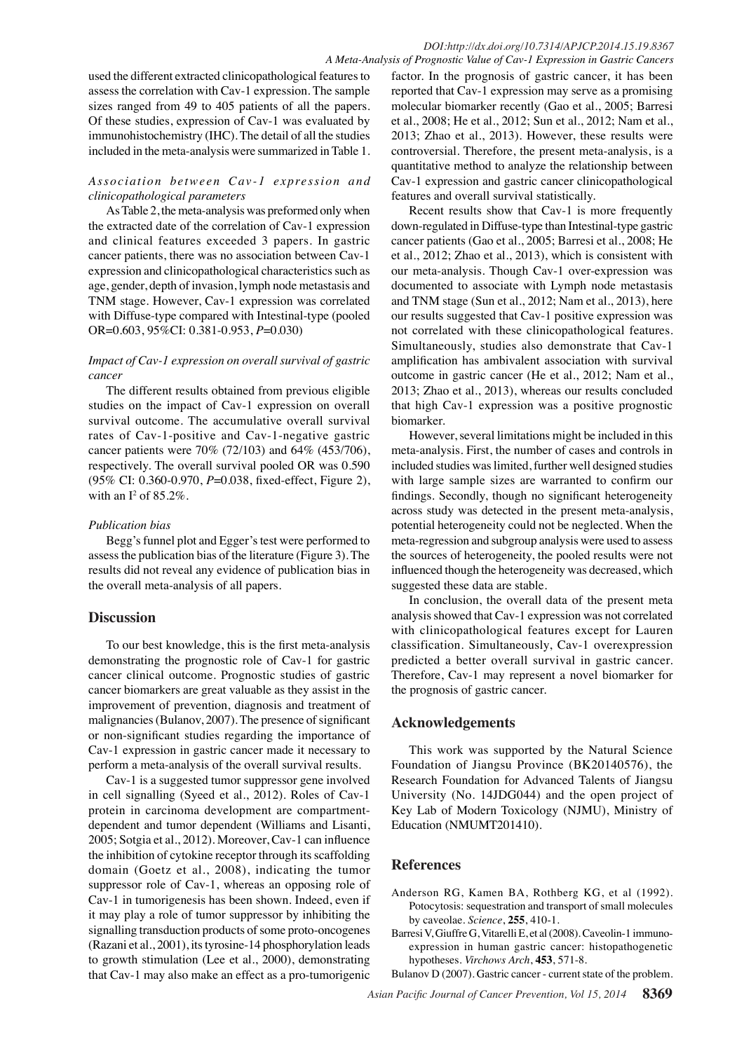used the different extracted clinicopathological features to assess the correlation with Cav-1 expression. The sample sizes ranged from 49 to 405 patients of all the papers. Of these studies, expression of Cav-1 was evaluated by immunohistochemistry (IHC). The detail of all the studies included in the meta-analysis were summarized in Table 1.

## *Association between Cav-1 expression and clinicopathological parameters*

As Table 2, the meta-analysis was preformed only when the extracted date of the correlation of Cav-1 expression and clinical features exceeded 3 papers. In gastric cancer patients, there was no association between Cav-1 expression and clinicopathological characteristics such as age, gender, depth of invasion, lymph node metastasis and TNM stage. However, Cav-1 expression was correlated with Diffuse-type compared with Intestinal-type (pooled OR=0.603, 95%CI: 0.381-0.953, *P*=0.030)

## *Impact of Cav-1 expression on overall survival of gastric cancer*

The different results obtained from previous eligible studies on the impact of Cav-1 expression on overall survival outcome. The accumulative overall survival rates of Cav-1-positive and Cav-1-negative gastric cancer patients were 70% (72/103) and 64% (453/706), respectively. The overall survival pooled OR was 0.590 (95% CI: 0.360-0.970, *P*=0.038, fixed-effect, Figure 2), with an  $I^2$  of 85.2%.

## *Publication bias*

Begg's funnel plot and Egger's test were performed to assess the publication bias of the literature (Figure 3). The results did not reveal any evidence of publication bias in the overall meta-analysis of all papers.

## **Discussion**

To our best knowledge, this is the first meta-analysis demonstrating the prognostic role of Cav-1 for gastric cancer clinical outcome. Prognostic studies of gastric cancer biomarkers are great valuable as they assist in the improvement of prevention, diagnosis and treatment of malignancies (Bulanov, 2007). The presence of significant or non-significant studies regarding the importance of Cav-1 expression in gastric cancer made it necessary to perform a meta-analysis of the overall survival results.

Cav-1 is a suggested tumor suppressor gene involved in cell signalling (Syeed et al., 2012). Roles of Cav-1 protein in carcinoma development are compartmentdependent and tumor dependent (Williams and Lisanti, 2005; Sotgia et al., 2012). Moreover, Cav-1 can influence the inhibition of cytokine receptor through its scaffolding domain (Goetz et al., 2008), indicating the tumor suppressor role of Cav-1, whereas an opposing role of Cav-1 in tumorigenesis has been shown. Indeed, even if it may play a role of tumor suppressor by inhibiting the signalling transduction products of some proto-oncogenes (Razani et al., 2001), its tyrosine-14 phosphorylation leads to growth stimulation (Lee et al., 2000), demonstrating that Cav-1 may also make an effect as a pro-tumorigenic

factor. In the prognosis of gastric cancer, it has been reported that Cav-1 expression may serve as a promising molecular biomarker recently (Gao et al., 2005; Barresi et al., 2008; He et al., 2012; Sun et al., 2012; Nam et al., 2013; Zhao et al., 2013). However, these results were controversial. Therefore, the present meta-analysis, is a quantitative method to analyze the relationship between Cav-1 expression and gastric cancer clinicopathological features and overall survival statistically.

Recent results show that Cav-1 is more frequently down-regulated in Diffuse-type than Intestinal-type gastric cancer patients (Gao et al., 2005; Barresi et al., 2008; He et al., 2012; Zhao et al., 2013), which is consistent with our meta-analysis. Though Cav-1 over-expression was documented to associate with Lymph node metastasis and TNM stage (Sun et al., 2012; Nam et al., 2013), here our results suggested that Cav-1 positive expression was not correlated with these clinicopathological features. Simultaneously, studies also demonstrate that Cav-1 amplification has ambivalent association with survival outcome in gastric cancer (He et al., 2012; Nam et al., 2013; Zhao et al., 2013), whereas our results concluded that high Cav-1 expression was a positive prognostic biomarker.

However, several limitations might be included in this meta-analysis. First, the number of cases and controls in included studies was limited, further well designed studies with large sample sizes are warranted to confirm our findings. Secondly, though no significant heterogeneity across study was detected in the present meta-analysis, potential heterogeneity could not be neglected. When the meta-regression and subgroup analysis were used to assess the sources of heterogeneity, the pooled results were not influenced though the heterogeneity was decreased, which suggested these data are stable.

In conclusion, the overall data of the present meta analysis showed that Cav-1 expression was not correlated with clinicopathological features except for Lauren classification. Simultaneously, Cav-1 overexpression predicted a better overall survival in gastric cancer. Therefore, Cav-1 may represent a novel biomarker for the prognosis of gastric cancer.

## **Acknowledgements**

This work was supported by the Natural Science Foundation of Jiangsu Province (BK20140576), the Research Foundation for Advanced Talents of Jiangsu University (No. 14JDG044) and the open project of Key Lab of Modern Toxicology (NJMU), Ministry of Education (NMUMT201410).

## **References**

- Anderson RG, Kamen BA, Rothberg KG, et al (1992). Potocytosis: sequestration and transport of small molecules by caveolae. *Science*, **255**, 410-1.
- Barresi V, Giuffre G, Vitarelli E, et al (2008). Caveolin-1 immunoexpression in human gastric cancer: histopathogenetic hypotheses. *Virchows Arch*, **453**, 571-8.

Bulanov D (2007). Gastric cancer - current state of the problem.